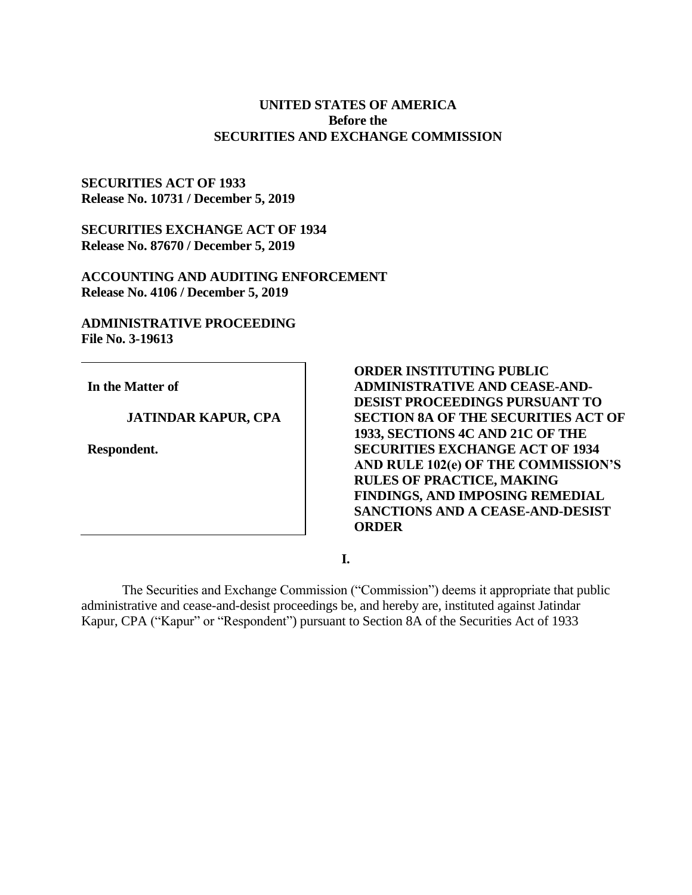# **UNITED STATES OF AMERICA Before the SECURITIES AND EXCHANGE COMMISSION**

# **SECURITIES ACT OF 1933 Release No. 10731 / December 5, 2019**

**SECURITIES EXCHANGE ACT OF 1934 Release No. 87670 / December 5, 2019**

**ACCOUNTING AND AUDITING ENFORCEMENT Release No. 4106 / December 5, 2019**

# **ADMINISTRATIVE PROCEEDING File No. 3-19613**

**In the Matter of**

# **JATINDAR KAPUR, CPA**

**Respondent.**

**ORDER INSTITUTING PUBLIC ADMINISTRATIVE AND CEASE-AND-DESIST PROCEEDINGS PURSUANT TO SECTION 8A OF THE SECURITIES ACT OF 1933, SECTIONS 4C AND 21C OF THE SECURITIES EXCHANGE ACT OF 1934 AND RULE 102(e) OF THE COMMISSION'S RULES OF PRACTICE, MAKING FINDINGS, AND IMPOSING REMEDIAL SANCTIONS AND A CEASE-AND-DESIST ORDER**

**I.**

The Securities and Exchange Commission ("Commission") deems it appropriate that public administrative and cease-and-desist proceedings be, and hereby are, instituted against Jatindar Kapur, CPA ("Kapur" or "Respondent") pursuant to Section 8A of the Securities Act of 1933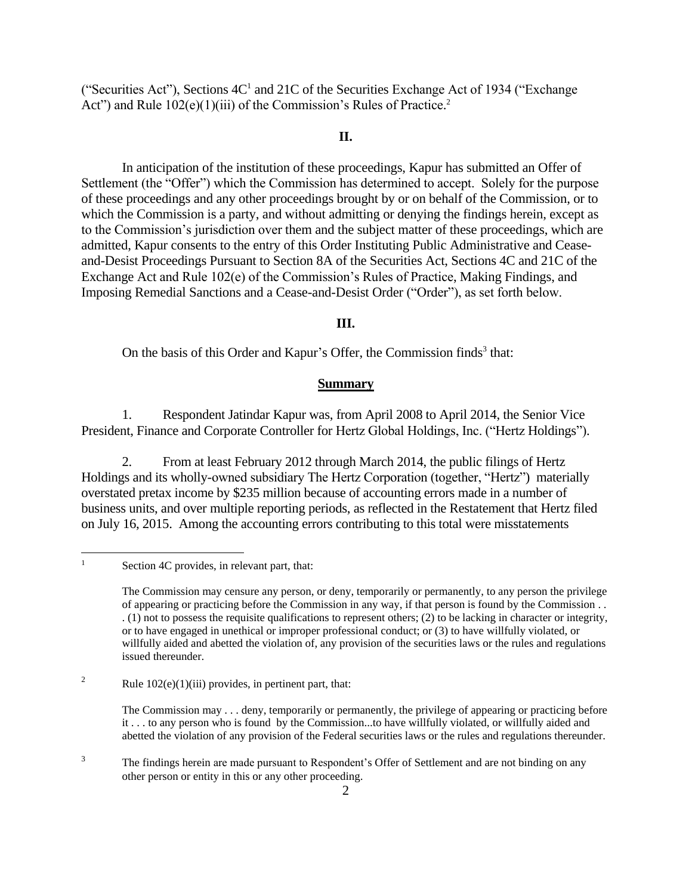("Securities Act"), Sections  $4C<sup>1</sup>$  and  $21C$  of the Securities Exchange Act of 1934 ("Exchange") Act") and Rule 102(e)(1)(iii) of the Commission's Rules of Practice.<sup>2</sup>

## **II.**

In anticipation of the institution of these proceedings, Kapur has submitted an Offer of Settlement (the "Offer") which the Commission has determined to accept. Solely for the purpose of these proceedings and any other proceedings brought by or on behalf of the Commission, or to which the Commission is a party, and without admitting or denying the findings herein, except as to the Commission's jurisdiction over them and the subject matter of these proceedings, which are admitted, Kapur consents to the entry of this Order Instituting Public Administrative and Ceaseand-Desist Proceedings Pursuant to Section 8A of the Securities Act, Sections 4C and 21C of the Exchange Act and Rule 102(e) of the Commission's Rules of Practice, Making Findings, and Imposing Remedial Sanctions and a Cease-and-Desist Order ("Order"), as set forth below.

### **III.**

On the basis of this Order and Kapur's Offer, the Commission finds<sup>3</sup> that:

### **Summary**

1. Respondent Jatindar Kapur was, from April 2008 to April 2014, the Senior Vice President, Finance and Corporate Controller for Hertz Global Holdings, Inc. ("Hertz Holdings").

2. From at least February 2012 through March 2014, the public filings of Hertz Holdings and its wholly-owned subsidiary The Hertz Corporation (together, "Hertz") materially overstated pretax income by \$235 million because of accounting errors made in a number of business units, and over multiple reporting periods, as reflected in the Restatement that Hertz filed on July 16, 2015. Among the accounting errors contributing to this total were misstatements

<sup>3</sup> The findings herein are made pursuant to Respondent's Offer of Settlement and are not binding on any other person or entity in this or any other proceeding.

 $\mathbf{1}$ Section 4C provides, in relevant part, that:

The Commission may censure any person, or deny, temporarily or permanently, to any person the privilege of appearing or practicing before the Commission in any way, if that person is found by the Commission . . . (1) not to possess the requisite qualifications to represent others; (2) to be lacking in character or integrity, or to have engaged in unethical or improper professional conduct; or (3) to have willfully violated, or willfully aided and abetted the violation of, any provision of the securities laws or the rules and regulations issued thereunder.

<sup>&</sup>lt;sup>2</sup> Rule  $102(e)(1)(iii)$  provides, in pertinent part, that:

The Commission may . . . deny, temporarily or permanently, the privilege of appearing or practicing before it . . . to any person who is found by the Commission...to have willfully violated, or willfully aided and abetted the violation of any provision of the Federal securities laws or the rules and regulations thereunder.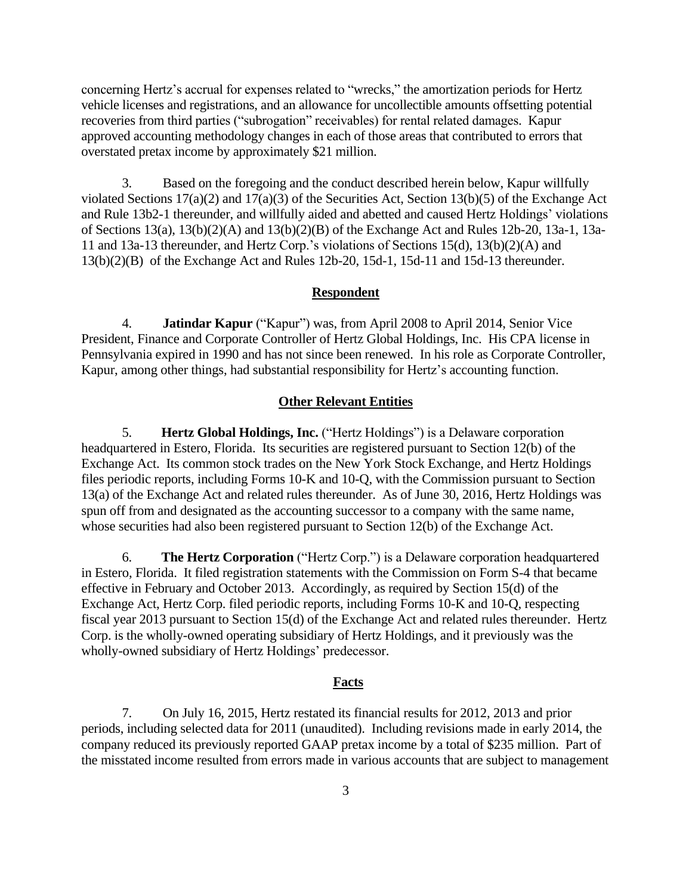concerning Hertz's accrual for expenses related to "wrecks," the amortization periods for Hertz vehicle licenses and registrations, and an allowance for uncollectible amounts offsetting potential recoveries from third parties ("subrogation" receivables) for rental related damages. Kapur approved accounting methodology changes in each of those areas that contributed to errors that overstated pretax income by approximately \$21 million.

3. Based on the foregoing and the conduct described herein below, Kapur willfully violated Sections 17(a)(2) and 17(a)(3) of the Securities Act, Section 13(b)(5) of the Exchange Act and Rule 13b2-1 thereunder, and willfully aided and abetted and caused Hertz Holdings' violations of Sections 13(a), 13(b)(2)(A) and 13(b)(2)(B) of the Exchange Act and Rules 12b-20, 13a-1, 13a-11 and 13a-13 thereunder, and Hertz Corp.'s violations of Sections 15(d), 13(b)(2)(A) and 13(b)(2)(B) of the Exchange Act and Rules 12b-20, 15d-1, 15d-11 and 15d-13 thereunder.

#### **Respondent**

4. **Jatindar Kapur** ("Kapur") was, from April 2008 to April 2014, Senior Vice President, Finance and Corporate Controller of Hertz Global Holdings, Inc. His CPA license in Pennsylvania expired in 1990 and has not since been renewed. In his role as Corporate Controller, Kapur, among other things, had substantial responsibility for Hertz's accounting function.

### **Other Relevant Entities**

5. **Hertz Global Holdings, Inc.** ("Hertz Holdings") is a Delaware corporation headquartered in Estero, Florida. Its securities are registered pursuant to Section 12(b) of the Exchange Act. Its common stock trades on the New York Stock Exchange, and Hertz Holdings files periodic reports, including Forms 10-K and 10-Q, with the Commission pursuant to Section 13(a) of the Exchange Act and related rules thereunder. As of June 30, 2016, Hertz Holdings was spun off from and designated as the accounting successor to a company with the same name, whose securities had also been registered pursuant to Section 12(b) of the Exchange Act.

6. **The Hertz Corporation** ("Hertz Corp.") is a Delaware corporation headquartered in Estero, Florida. It filed registration statements with the Commission on Form S-4 that became effective in February and October 2013. Accordingly, as required by Section 15(d) of the Exchange Act, Hertz Corp. filed periodic reports, including Forms 10-K and 10-Q, respecting fiscal year 2013 pursuant to Section 15(d) of the Exchange Act and related rules thereunder. Hertz Corp. is the wholly-owned operating subsidiary of Hertz Holdings, and it previously was the wholly-owned subsidiary of Hertz Holdings' predecessor.

#### **Facts**

7. On July 16, 2015, Hertz restated its financial results for 2012, 2013 and prior periods, including selected data for 2011 (unaudited). Including revisions made in early 2014, the company reduced its previously reported GAAP pretax income by a total of \$235 million. Part of the misstated income resulted from errors made in various accounts that are subject to management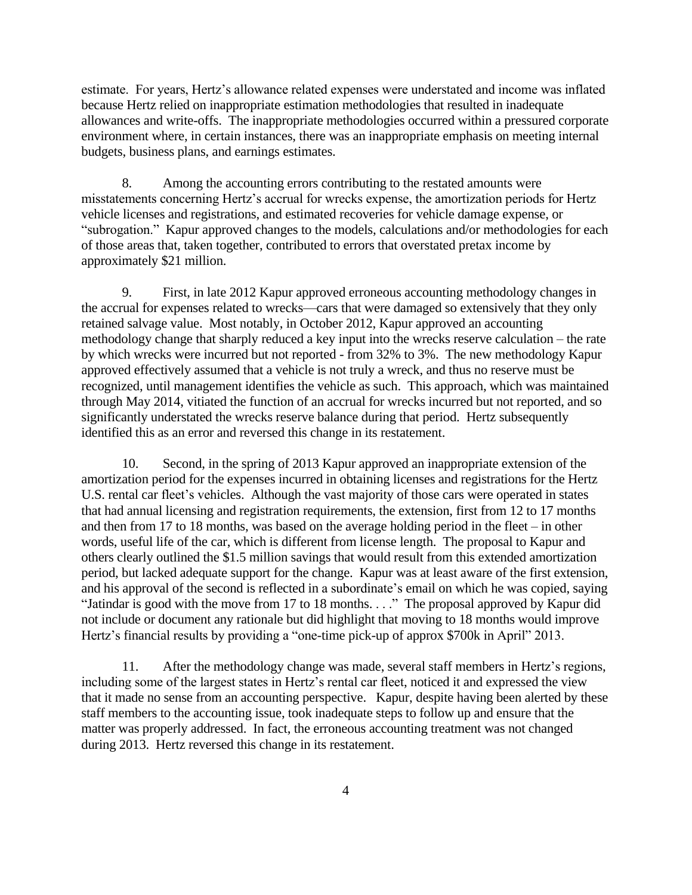estimate. For years, Hertz's allowance related expenses were understated and income was inflated because Hertz relied on inappropriate estimation methodologies that resulted in inadequate allowances and write-offs. The inappropriate methodologies occurred within a pressured corporate environment where, in certain instances, there was an inappropriate emphasis on meeting internal budgets, business plans, and earnings estimates.

8. Among the accounting errors contributing to the restated amounts were misstatements concerning Hertz's accrual for wrecks expense, the amortization periods for Hertz vehicle licenses and registrations, and estimated recoveries for vehicle damage expense, or "subrogation." Kapur approved changes to the models, calculations and/or methodologies for each of those areas that, taken together, contributed to errors that overstated pretax income by approximately \$21 million.

9. First, in late 2012 Kapur approved erroneous accounting methodology changes in the accrual for expenses related to wrecks—cars that were damaged so extensively that they only retained salvage value. Most notably, in October 2012, Kapur approved an accounting methodology change that sharply reduced a key input into the wrecks reserve calculation – the rate by which wrecks were incurred but not reported - from 32% to 3%. The new methodology Kapur approved effectively assumed that a vehicle is not truly a wreck, and thus no reserve must be recognized, until management identifies the vehicle as such. This approach, which was maintained through May 2014, vitiated the function of an accrual for wrecks incurred but not reported, and so significantly understated the wrecks reserve balance during that period. Hertz subsequently identified this as an error and reversed this change in its restatement.

10. Second, in the spring of 2013 Kapur approved an inappropriate extension of the amortization period for the expenses incurred in obtaining licenses and registrations for the Hertz U.S. rental car fleet's vehicles. Although the vast majority of those cars were operated in states that had annual licensing and registration requirements, the extension, first from 12 to 17 months and then from 17 to 18 months, was based on the average holding period in the fleet – in other words, useful life of the car, which is different from license length. The proposal to Kapur and others clearly outlined the \$1.5 million savings that would result from this extended amortization period, but lacked adequate support for the change. Kapur was at least aware of the first extension, and his approval of the second is reflected in a subordinate's email on which he was copied, saying "Jatindar is good with the move from 17 to 18 months. . . ." The proposal approved by Kapur did not include or document any rationale but did highlight that moving to 18 months would improve Hertz's financial results by providing a "one-time pick-up of approx \$700k in April" 2013.

11. After the methodology change was made, several staff members in Hertz's regions, including some of the largest states in Hertz's rental car fleet, noticed it and expressed the view that it made no sense from an accounting perspective. Kapur, despite having been alerted by these staff members to the accounting issue, took inadequate steps to follow up and ensure that the matter was properly addressed. In fact, the erroneous accounting treatment was not changed during 2013. Hertz reversed this change in its restatement.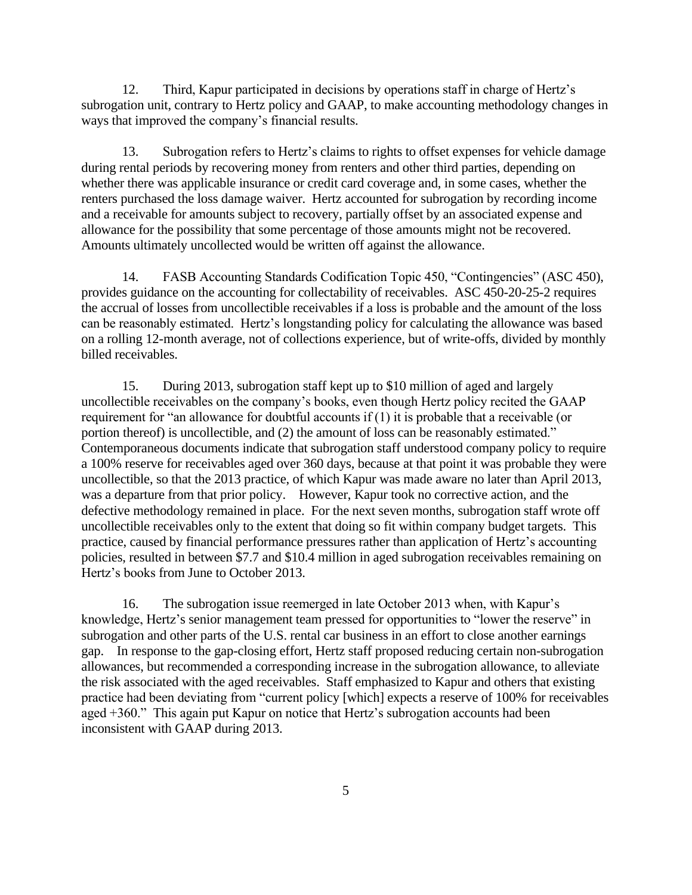12. Third, Kapur participated in decisions by operations staff in charge of Hertz's subrogation unit, contrary to Hertz policy and GAAP, to make accounting methodology changes in ways that improved the company's financial results.

13. Subrogation refers to Hertz's claims to rights to offset expenses for vehicle damage during rental periods by recovering money from renters and other third parties, depending on whether there was applicable insurance or credit card coverage and, in some cases, whether the renters purchased the loss damage waiver. Hertz accounted for subrogation by recording income and a receivable for amounts subject to recovery, partially offset by an associated expense and allowance for the possibility that some percentage of those amounts might not be recovered. Amounts ultimately uncollected would be written off against the allowance.

14. FASB Accounting Standards Codification Topic 450, "Contingencies" (ASC 450), provides guidance on the accounting for collectability of receivables. ASC 450-20-25-2 requires the accrual of losses from uncollectible receivables if a loss is probable and the amount of the loss can be reasonably estimated. Hertz's longstanding policy for calculating the allowance was based on a rolling 12-month average, not of collections experience, but of write-offs, divided by monthly billed receivables.

15. During 2013, subrogation staff kept up to \$10 million of aged and largely uncollectible receivables on the company's books, even though Hertz policy recited the GAAP requirement for "an allowance for doubtful accounts if (1) it is probable that a receivable (or portion thereof) is uncollectible, and (2) the amount of loss can be reasonably estimated." Contemporaneous documents indicate that subrogation staff understood company policy to require a 100% reserve for receivables aged over 360 days, because at that point it was probable they were uncollectible, so that the 2013 practice, of which Kapur was made aware no later than April 2013, was a departure from that prior policy. However, Kapur took no corrective action, and the defective methodology remained in place. For the next seven months, subrogation staff wrote off uncollectible receivables only to the extent that doing so fit within company budget targets. This practice, caused by financial performance pressures rather than application of Hertz's accounting policies, resulted in between \$7.7 and \$10.4 million in aged subrogation receivables remaining on Hertz's books from June to October 2013.

16. The subrogation issue reemerged in late October 2013 when, with Kapur's knowledge, Hertz's senior management team pressed for opportunities to "lower the reserve" in subrogation and other parts of the U.S. rental car business in an effort to close another earnings gap. In response to the gap-closing effort, Hertz staff proposed reducing certain non-subrogation allowances, but recommended a corresponding increase in the subrogation allowance, to alleviate the risk associated with the aged receivables. Staff emphasized to Kapur and others that existing practice had been deviating from "current policy [which] expects a reserve of 100% for receivables aged +360." This again put Kapur on notice that Hertz's subrogation accounts had been inconsistent with GAAP during 2013.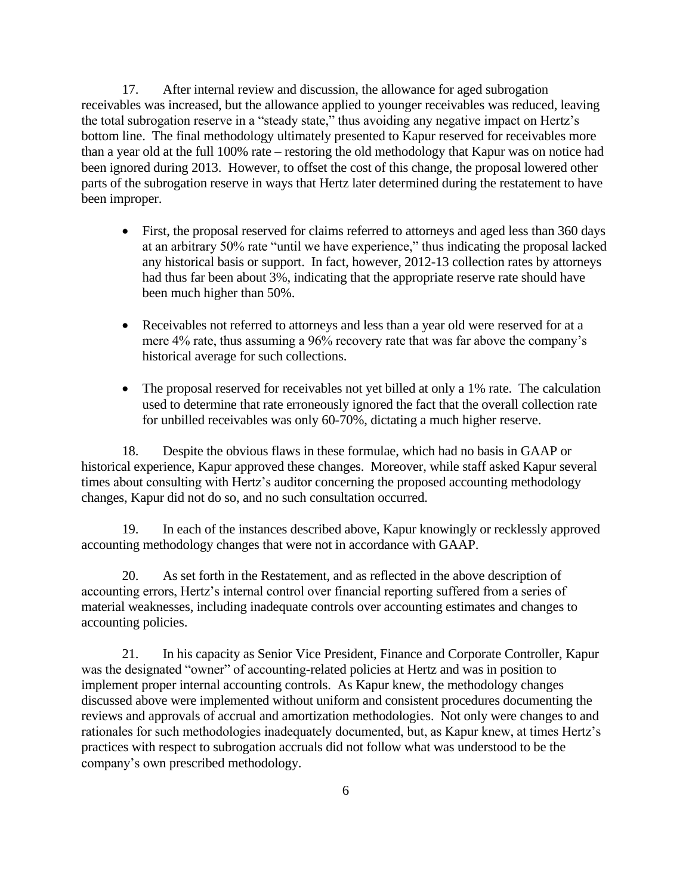17. After internal review and discussion, the allowance for aged subrogation receivables was increased, but the allowance applied to younger receivables was reduced, leaving the total subrogation reserve in a "steady state," thus avoiding any negative impact on Hertz's bottom line. The final methodology ultimately presented to Kapur reserved for receivables more than a year old at the full 100% rate – restoring the old methodology that Kapur was on notice had been ignored during 2013. However, to offset the cost of this change, the proposal lowered other parts of the subrogation reserve in ways that Hertz later determined during the restatement to have been improper.

- First, the proposal reserved for claims referred to attorneys and aged less than 360 days at an arbitrary 50% rate "until we have experience," thus indicating the proposal lacked any historical basis or support. In fact, however, 2012-13 collection rates by attorneys had thus far been about 3%, indicating that the appropriate reserve rate should have been much higher than 50%.
- Receivables not referred to attorneys and less than a year old were reserved for at a mere 4% rate, thus assuming a 96% recovery rate that was far above the company's historical average for such collections.
- The proposal reserved for receivables not yet billed at only a 1% rate. The calculation used to determine that rate erroneously ignored the fact that the overall collection rate for unbilled receivables was only 60-70%, dictating a much higher reserve.

18. Despite the obvious flaws in these formulae, which had no basis in GAAP or historical experience, Kapur approved these changes. Moreover, while staff asked Kapur several times about consulting with Hertz's auditor concerning the proposed accounting methodology changes, Kapur did not do so, and no such consultation occurred.

19. In each of the instances described above, Kapur knowingly or recklessly approved accounting methodology changes that were not in accordance with GAAP.

20. As set forth in the Restatement, and as reflected in the above description of accounting errors, Hertz's internal control over financial reporting suffered from a series of material weaknesses, including inadequate controls over accounting estimates and changes to accounting policies.

21. In his capacity as Senior Vice President, Finance and Corporate Controller, Kapur was the designated "owner" of accounting-related policies at Hertz and was in position to implement proper internal accounting controls. As Kapur knew, the methodology changes discussed above were implemented without uniform and consistent procedures documenting the reviews and approvals of accrual and amortization methodologies. Not only were changes to and rationales for such methodologies inadequately documented, but, as Kapur knew, at times Hertz's practices with respect to subrogation accruals did not follow what was understood to be the company's own prescribed methodology.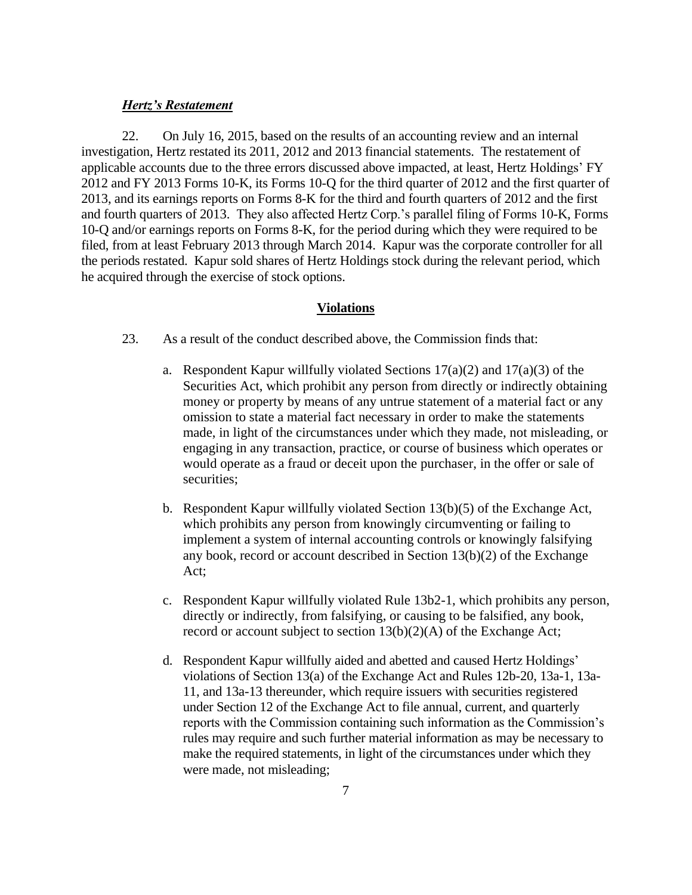## *Hertz's Restatement*

22. On July 16, 2015, based on the results of an accounting review and an internal investigation, Hertz restated its 2011, 2012 and 2013 financial statements. The restatement of applicable accounts due to the three errors discussed above impacted, at least, Hertz Holdings' FY 2012 and FY 2013 Forms 10-K, its Forms 10-Q for the third quarter of 2012 and the first quarter of 2013, and its earnings reports on Forms 8-K for the third and fourth quarters of 2012 and the first and fourth quarters of 2013. They also affected Hertz Corp.'s parallel filing of Forms 10-K, Forms 10-Q and/or earnings reports on Forms 8-K, for the period during which they were required to be filed, from at least February 2013 through March 2014. Kapur was the corporate controller for all the periods restated. Kapur sold shares of Hertz Holdings stock during the relevant period, which he acquired through the exercise of stock options.

#### **Violations**

- 23. As a result of the conduct described above, the Commission finds that:
	- a. Respondent Kapur willfully violated Sections  $17(a)(2)$  and  $17(a)(3)$  of the Securities Act, which prohibit any person from directly or indirectly obtaining money or property by means of any untrue statement of a material fact or any omission to state a material fact necessary in order to make the statements made, in light of the circumstances under which they made, not misleading, or engaging in any transaction, practice, or course of business which operates or would operate as a fraud or deceit upon the purchaser, in the offer or sale of securities;
	- b. Respondent Kapur willfully violated Section 13(b)(5) of the Exchange Act, which prohibits any person from knowingly circumventing or failing to implement a system of internal accounting controls or knowingly falsifying any book, record or account described in Section 13(b)(2) of the Exchange Act;
	- c. Respondent Kapur willfully violated Rule 13b2-1, which prohibits any person, directly or indirectly, from falsifying, or causing to be falsified, any book, record or account subject to section 13(b)(2)(A) of the Exchange Act;
	- d. Respondent Kapur willfully aided and abetted and caused Hertz Holdings' violations of Section 13(a) of the Exchange Act and Rules 12b-20, 13a-1, 13a-11, and 13a-13 thereunder, which require issuers with securities registered under Section 12 of the Exchange Act to file annual, current, and quarterly reports with the Commission containing such information as the Commission's rules may require and such further material information as may be necessary to make the required statements, in light of the circumstances under which they were made, not misleading;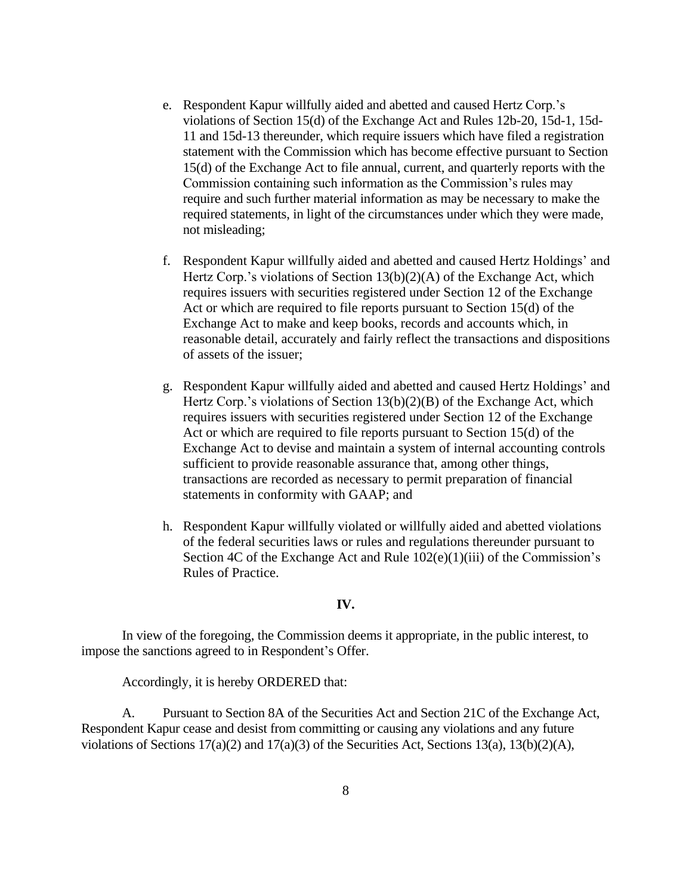- e. Respondent Kapur willfully aided and abetted and caused Hertz Corp.'s violations of Section 15(d) of the Exchange Act and Rules 12b-20, 15d-1, 15d-11 and 15d-13 thereunder, which require issuers which have filed a registration statement with the Commission which has become effective pursuant to Section 15(d) of the Exchange Act to file annual, current, and quarterly reports with the Commission containing such information as the Commission's rules may require and such further material information as may be necessary to make the required statements, in light of the circumstances under which they were made, not misleading;
- f. Respondent Kapur willfully aided and abetted and caused Hertz Holdings' and Hertz Corp.'s violations of Section  $13(b)(2)(A)$  of the Exchange Act, which requires issuers with securities registered under Section 12 of the Exchange Act or which are required to file reports pursuant to Section 15(d) of the Exchange Act to make and keep books, records and accounts which, in reasonable detail, accurately and fairly reflect the transactions and dispositions of assets of the issuer;
- g. Respondent Kapur willfully aided and abetted and caused Hertz Holdings' and Hertz Corp.'s violations of Section 13(b)(2)(B) of the Exchange Act, which requires issuers with securities registered under Section 12 of the Exchange Act or which are required to file reports pursuant to Section 15(d) of the Exchange Act to devise and maintain a system of internal accounting controls sufficient to provide reasonable assurance that, among other things, transactions are recorded as necessary to permit preparation of financial statements in conformity with GAAP; and
- h. Respondent Kapur willfully violated or willfully aided and abetted violations of the federal securities laws or rules and regulations thereunder pursuant to Section 4C of the Exchange Act and Rule  $102(e)(1)(iii)$  of the Commission's Rules of Practice.

## **IV.**

In view of the foregoing, the Commission deems it appropriate, in the public interest, to impose the sanctions agreed to in Respondent's Offer.

Accordingly, it is hereby ORDERED that:

A. Pursuant to Section 8A of the Securities Act and Section 21C of the Exchange Act, Respondent Kapur cease and desist from committing or causing any violations and any future violations of Sections 17(a)(2) and 17(a)(3) of the Securities Act, Sections 13(a), 13(b)(2)(A),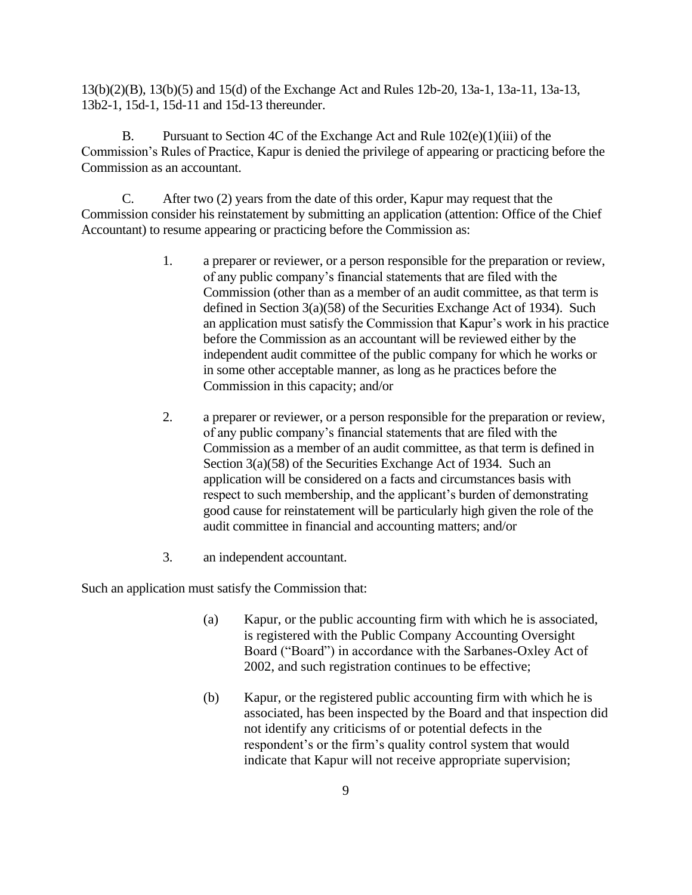13(b)(2)(B), 13(b)(5) and 15(d) of the Exchange Act and Rules 12b-20, 13a-1, 13a-11, 13a-13, 13b2-1, 15d-1, 15d-11 and 15d-13 thereunder.

B. Pursuant to Section 4C of the Exchange Act and Rule  $102(e)(1)(iii)$  of the Commission's Rules of Practice, Kapur is denied the privilege of appearing or practicing before the Commission as an accountant.

C. After two (2) years from the date of this order, Kapur may request that the Commission consider his reinstatement by submitting an application (attention: Office of the Chief Accountant) to resume appearing or practicing before the Commission as:

- 1. a preparer or reviewer, or a person responsible for the preparation or review, of any public company's financial statements that are filed with the Commission (other than as a member of an audit committee, as that term is defined in Section 3(a)(58) of the Securities Exchange Act of 1934). Such an application must satisfy the Commission that Kapur's work in his practice before the Commission as an accountant will be reviewed either by the independent audit committee of the public company for which he works or in some other acceptable manner, as long as he practices before the Commission in this capacity; and/or
- 2. a preparer or reviewer, or a person responsible for the preparation or review, of any public company's financial statements that are filed with the Commission as a member of an audit committee, as that term is defined in Section 3(a)(58) of the Securities Exchange Act of 1934. Such an application will be considered on a facts and circumstances basis with respect to such membership, and the applicant's burden of demonstrating good cause for reinstatement will be particularly high given the role of the audit committee in financial and accounting matters; and/or
- 3. an independent accountant.

Such an application must satisfy the Commission that:

- (a) Kapur, or the public accounting firm with which he is associated, is registered with the Public Company Accounting Oversight Board ("Board") in accordance with the Sarbanes-Oxley Act of 2002, and such registration continues to be effective;
- (b) Kapur, or the registered public accounting firm with which he is associated, has been inspected by the Board and that inspection did not identify any criticisms of or potential defects in the respondent's or the firm's quality control system that would indicate that Kapur will not receive appropriate supervision;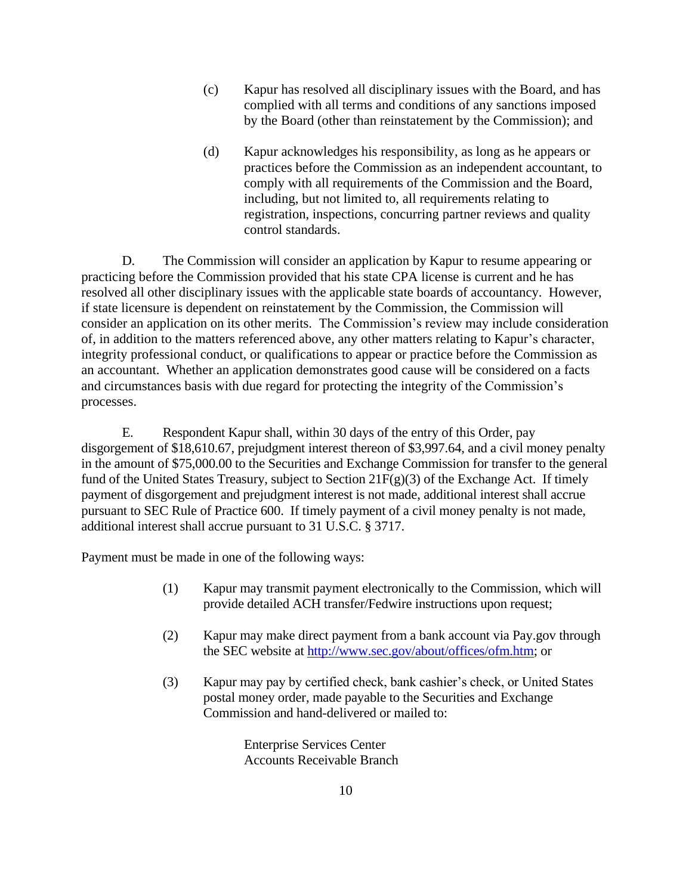- (c) Kapur has resolved all disciplinary issues with the Board, and has complied with all terms and conditions of any sanctions imposed by the Board (other than reinstatement by the Commission); and
- (d) Kapur acknowledges his responsibility, as long as he appears or practices before the Commission as an independent accountant, to comply with all requirements of the Commission and the Board, including, but not limited to, all requirements relating to registration, inspections, concurring partner reviews and quality control standards.

D. The Commission will consider an application by Kapur to resume appearing or practicing before the Commission provided that his state CPA license is current and he has resolved all other disciplinary issues with the applicable state boards of accountancy. However, if state licensure is dependent on reinstatement by the Commission, the Commission will consider an application on its other merits. The Commission's review may include consideration of, in addition to the matters referenced above, any other matters relating to Kapur's character, integrity professional conduct, or qualifications to appear or practice before the Commission as an accountant. Whether an application demonstrates good cause will be considered on a facts and circumstances basis with due regard for protecting the integrity of the Commission's processes.

E. Respondent Kapur shall, within 30 days of the entry of this Order, pay disgorgement of \$18,610.67, prejudgment interest thereon of \$3,997.64, and a civil money penalty in the amount of \$75,000.00 to the Securities and Exchange Commission for transfer to the general fund of the United States Treasury, subject to Section  $21F(g)(3)$  of the Exchange Act. If timely payment of disgorgement and prejudgment interest is not made, additional interest shall accrue pursuant to SEC Rule of Practice 600. If timely payment of a civil money penalty is not made, additional interest shall accrue pursuant to 31 U.S.C. § 3717.

Payment must be made in one of the following ways:

- (1) Kapur may transmit payment electronically to the Commission, which will provide detailed ACH transfer/Fedwire instructions upon request;
- (2) Kapur may make direct payment from a bank account via Pay.gov through the SEC website at [http://www.sec.gov/about/offices/ofm.htm;](http://www.sec.gov/about/offices/ofm.htm) or
- (3) Kapur may pay by certified check, bank cashier's check, or United States postal money order, made payable to the Securities and Exchange Commission and hand-delivered or mailed to:

Enterprise Services Center Accounts Receivable Branch